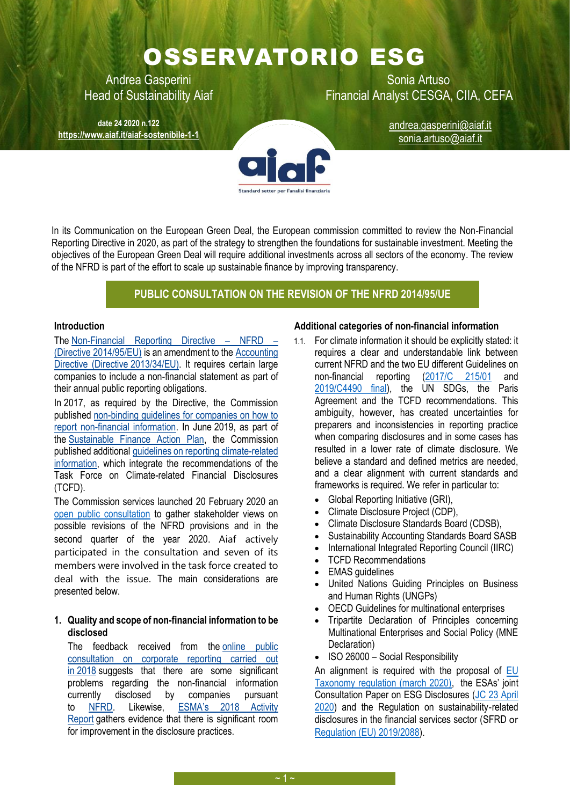# OSSERVATORIO ESG

**date 24 2020 n.122 <https://www.aiaf.it/aiaf-sostenibile-1-1>**

Andrea Gasperini New York Sonia Artuso Head of Sustainability Aiaf Financial Analyst CESGA, CIIA, CEFA

[andrea.gasperini@aiaf.it](mailto:andrea.gasperini@aiaf.it) sonia.artuso@aiaf.it

In its Communication on the European Green Deal, the European commission committed to review the Non-Financial Reporting Directive in 2020, as part of the strategy to strengthen the foundations for sustainable investment. Meeting the objectives of the European Green Deal will require additional investments across all sectors of the economy. The review of the NFRD is part of the effort to scale up sustainable finance by improving transparency.

# **PUBLIC CONSULTATION ON THE REVISION OF THE NFRD 2014/95/UE**

#### **Introduction**

The [Non-Financial Reporting Directive](https://eur-lex.europa.eu/legal-content/EN/TXT/?uri=CELEX:32014L0095) – NFRD – (Directive [2014/95/EU\)](https://eur-lex.europa.eu/legal-content/EN/TXT/?uri=CELEX:32014L0095) is an amendment to the [Accounting](https://eur-lex.europa.eu/legal-content/EN/TXT/?uri=CELEX:32013L0034)  [Directive \(Directive](https://eur-lex.europa.eu/legal-content/EN/TXT/?uri=CELEX:32013L0034) 2013/34/EU). It requires certain large companies to include a non-financial statement as part of their annual public reporting obligations.

In 2017, as required by the Directive, the Commission published [non-binding guidelines for companies on how to](https://eur-lex.europa.eu/legal-content/EN/TXT/?uri=CELEX:52017XC0705(01))  [report non-financial information.](https://eur-lex.europa.eu/legal-content/EN/TXT/?uri=CELEX:52017XC0705(01)) In June 2019, as part of the [Sustainable Finance Action Plan,](https://ec.europa.eu/info/publications/180308-action-plan-sustainable-growth_en) the Commission published additional [guidelines on reporting climate-related](https://eur-lex.europa.eu/legal-content/EN/TXT/?uri=CELEX:52019XC0620(01))  [information,](https://eur-lex.europa.eu/legal-content/EN/TXT/?uri=CELEX:52019XC0620(01)) which integrate the recommendations of the Task Force on Climate-related Financial Disclosures (TCFD).

The Commission services launched 20 February 2020 an [open public consultation](https://ec.europa.eu/info/law/better-regulation/have-your-say/initiatives/12129-Revision-of-Non-Financial-Reporting-Directive/public-consultation) to gather stakeholder views on possible revisions of the NFRD provisions and in the second quarter of the year 2020. Aiaf actively participated in the consultation and seven of its members were involved in the task force created to deal with the issue. The main considerations are presented below.

# **1. Quality and scope of non-financial information to be disclosed**

The feedback received from the [online public](https://ec.europa.eu/info/consultations/finance-2018-companies-public-reporting_en)  [consultation on corporate reporting carried out](https://ec.europa.eu/info/consultations/finance-2018-companies-public-reporting_en)  in [2018](https://ec.europa.eu/info/consultations/finance-2018-companies-public-reporting_en) suggests that there are some significant problems regarding the non-financial information currently disclosed by companies pursuant to [NFRD.](https://eur-lex.europa.eu/legal-content/EN/TXT/?uri=CELEX%3A32014L0095) Likewise, [ESMA's 2018 Activity](https://www.esma.europa.eu/sites/default/files/library/esma32-63-672_report_on_enforcement_activities_2018.pdf)  [Report](https://www.esma.europa.eu/sites/default/files/library/esma32-63-672_report_on_enforcement_activities_2018.pdf) gathers evidence that there is significant room for improvement in the disclosure practices.

#### **Additional categories of non-financial information**

- 1.1. For climate information it should be explicitly stated: it requires a clear and understandable link between current NFRD and the two EU different Guidelines on non-financial reporting [\(2017/C 215/01](https://eur-lex.europa.eu/legal-content/EN/TXT/PDF/?uri=CELEX:52017XC0705(01)&from=IT) and [2019/C4490 final\)](https://ec.europa.eu/transparency/regdoc/rep/3/2019/EN/C-2019-4490-F1-EN-MAIN-PART-1.PDF), the UN SDGs, the Paris Agreement and the TCFD recommendations. This ambiguity, however, has created uncertainties for preparers and inconsistencies in reporting practice when comparing disclosures and in some cases has resulted in a lower rate of climate disclosure. We believe a standard and defined metrics are needed, and a clear alignment with current standards and frameworks is required. We refer in particular to:
	- Global Reporting Initiative (GRI),
	- Climate Disclosure Project (CDP),
	- Climate Disclosure Standards Board (CDSB),
	- Sustainability Accounting Standards Board SASB
	- International Integrated Reporting Council (IIRC)
	- TCFD Recommendations
	- EMAS quidelines
	- United Nations Guiding Principles on Business and Human Rights (UNGPs)
	- OECD Guidelines for multinational enterprises
	- Tripartite Declaration of Principles concerning Multinational Enterprises and Social Policy (MNE Declaration)
	- ISO 26000 Social Responsibility

An alignment is required with the proposal of EU [Taxonomy regulation \(march 2020\),](https://ec.europa.eu/info/publications/sustainable-finance-teg-taxonomy_en) the ESAs' joint Consultation Paper on ESG Disclosures [\(JC 23 April](https://www.esma.europa.eu/sites/default/files/jc_2020_16_-_joint_consultation_paper_on_esg_disclosures.pdf)  [2020\)](https://www.esma.europa.eu/sites/default/files/jc_2020_16_-_joint_consultation_paper_on_esg_disclosures.pdf) and the Regulation on sustainability-related disclosures in the financial services sector (SFRD or [Regulation \(EU\) 2019/2088\)](https://eur-lex.europa.eu/legal-content/EN/TXT/PDF/?uri=CELEX:32019R2088&from=EN).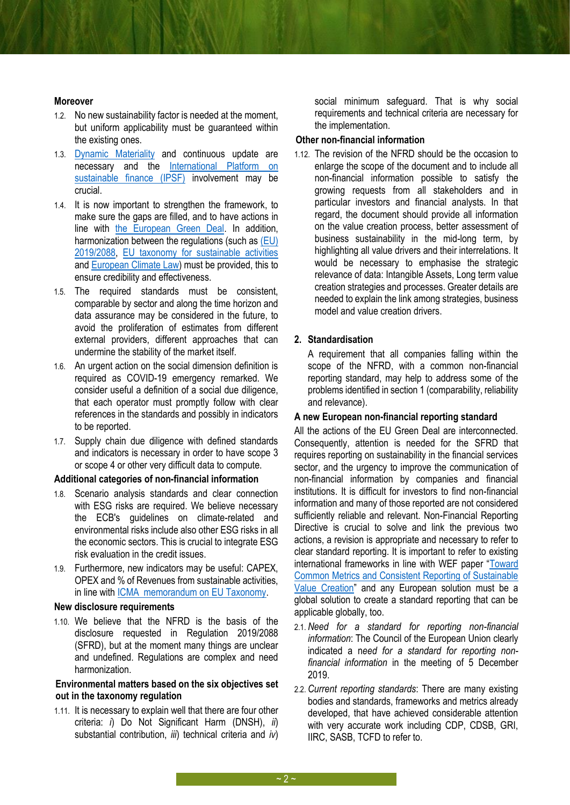#### **Moreover**

- 1.2. No new sustainability factor is needed at the moment, but uniform applicability must be guaranteed within the existing ones.
- 1.3. [Dynamic Materiality](http://www3.weforum.org/docs/WEF_Embracing_the_New_Age_of_Materiality_2020.pdf) and continuous update are necessary and the [International Platform on](https://ec.europa.eu/info/files/191018-international-platform-sustainable-finance-joint-statement_it)  [sustainable finance \(IPSF\)](https://ec.europa.eu/info/files/191018-international-platform-sustainable-finance-joint-statement_it) involvement may be crucial.
- 1.4. It is now important to strengthen the framework, to make sure the gaps are filled, and to have actions in line with the [European Green Deal.](https://ec.europa.eu/info/strategy/priorities-2019-2024/european-green-deal_en) In addition, harmonization between the regulations (such as [\(EU\)](https://eur-lex.europa.eu/legal-content/EN/TXT/PDF/?uri=CELEX:32019R2088&from=EN)  [2019/2088,](https://eur-lex.europa.eu/legal-content/EN/TXT/PDF/?uri=CELEX:32019R2088&from=EN) [EU taxonomy for sustainable activities](https://ec.europa.eu/info/publications/sustainable-finance-teg-taxonomy_en) an[d European Climate Law\)](https://ec.europa.eu/clima/policies/eu-climate-action/law_en) must be provided, this to ensure credibility and effectiveness.
- 1.5. The required standards must be consistent, comparable by sector and along the time horizon and data assurance may be considered in the future, to avoid the proliferation of estimates from different external providers, different approaches that can undermine the stability of the market itself.
- 1.6. An urgent action on the social dimension definition is required as COVID-19 emergency remarked. We consider useful a definition of a social due diligence, that each operator must promptly follow with clear references in the standards and possibly in indicators to be reported.
- 1.7. Supply chain due diligence with defined standards and indicators is necessary in order to have scope 3 or scope 4 or other very difficult data to compute.

#### **Additional categories of non-financial information**

- 1.8. Scenario analysis standards and clear connection with ESG risks are required. We believe necessary the ECB's guidelines on climate-related and environmental risks include also other ESG risks in all the economic sectors. This is crucial to integrate ESG risk evaluation in the credit issues.
- 1.9. Furthermore, new indicators may be useful: CAPEX, OPEX and % of Revenues from sustainable activities, in line wit[h ICMA memorandum on EU Taxonomy.](https://www.icmagroup.org/assets/documents/Regulatory/Green-Bonds/Memorandum-on-EU-sustainability-disclosure-regime300420.pdf)

#### **New disclosure requirements**

1.10. We believe that the NFRD is the basis of the disclosure requested in Regulation 2019/2088 (SFRD), but at the moment many things are unclear and undefined. Regulations are complex and need harmonization.

#### **Environmental matters based on the six objectives set out in the taxonomy regulation**

1.11. It is necessary to explain well that there are four other criteria: *i*) Do Not Significant Harm (DNSH), *ii*) substantial contribution, *iii*) technical criteria and *iv*)

social minimum safeguard. That is why social requirements and technical criteria are necessary for the implementation.

### **Other non-financial information**

1.12. The revision of the NFRD should be the occasion to enlarge the scope of the document and to include all non-financial information possible to satisfy the growing requests from all stakeholders and in particular investors and financial analysts. In that regard, the document should provide all information on the value creation process, better assessment of business sustainability in the mid-long term, by highlighting all value drivers and their interrelations. It would be necessary to emphasise the strategic relevance of data: Intangible Assets, Long term value creation strategies and processes. Greater details are needed to explain the link among strategies, business model and value creation drivers.

# **2. Standardisation**

A requirement that all companies falling within the scope of the NFRD, with a common non-financial reporting standard, may help to address some of the problems identified in section 1 (comparability, reliability and relevance).

#### **A new European non-financial reporting standard**

All the actions of the EU Green Deal are interconnected. Consequently, attention is needed for the SFRD that requires reporting on sustainability in the financial services sector, and the urgency to improve the communication of non-financial information by companies and financial institutions. It is difficult for investors to find non-financial information and many of those reported are not considered sufficiently reliable and relevant. Non-Financial Reporting Directive is crucial to solve and link the previous two actions, a revision is appropriate and necessary to refer to clear standard reporting. It is important to refer to existing international frameworks in line with WEF paper "[Toward](http://www3.weforum.org/docs/WEF_IBC_ESG_Metrics_Discussion_Paper.pdf)  [Common Metrics and Consistent Reporting of Sustainable](http://www3.weforum.org/docs/WEF_IBC_ESG_Metrics_Discussion_Paper.pdf)  [Value Creation](http://www3.weforum.org/docs/WEF_IBC_ESG_Metrics_Discussion_Paper.pdf)" and any European solution must be a global solution to create a standard reporting that can be applicable globally, too.

- 2.1. *Need for a standard for reporting non-financial information*: The Council of the European Union clearly indicated a n*eed for a standard for reporting nonfinancial information* in the meeting of 5 December 2019.
- 2.2. *Current reporting standards*: There are many existing bodies and standards, frameworks and metrics already developed, that have achieved considerable attention with very accurate work including CDP, CDSB, GRI, IIRC, SASB, TCFD to refer to.